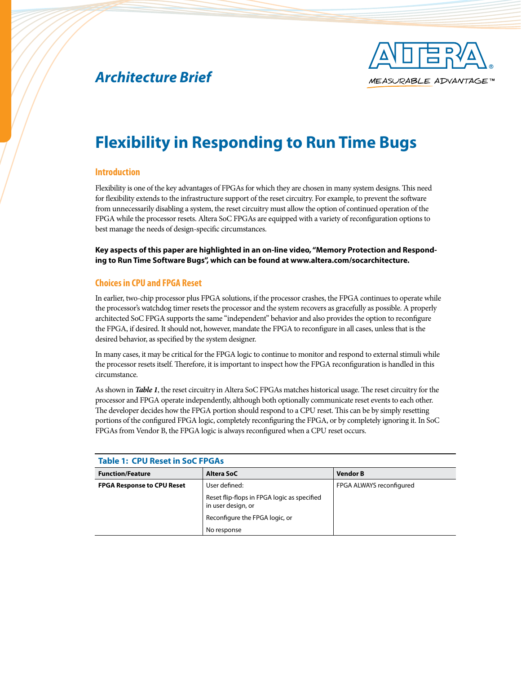# *Architecture Brief*



# **Flexibility in Responding to Run Time Bugs**

#### **Introduction**

Flexibility is one of the key advantages of FPGAs for which they are chosen in many system designs. This need for flexibility extends to the infrastructure support of the reset circuitry. For example, to prevent the software from unnecessarily disabling a system, the reset circuitry must allow the option of continued operation of the FPGA while the processor resets. Altera SoC FPGAs are equipped with a variety of reconfiguration options to best manage the needs of design-specific circumstances.

**Key aspects of this paper are highlighted in an on-line video, "Memory Protection and Responding to Run Time Software Bugs", which can be found at www.altera.com/socarchitecture.** 

#### **Choices in CPU and FPGA Reset**

In earlier, two-chip processor plus FPGA solutions, if the processor crashes, the FPGA continues to operate while the processor's watchdog timer resets the processor and the system recovers as gracefully as possible. A properly architected SoC FPGA supports the same "independent" behavior and also provides the option to reconfigure the FPGA, if desired. It should not, however, mandate the FPGA to reconfigure in all cases, unless that is the desired behavior, as specified by the system designer.

In many cases, it may be critical for the FPGA logic to continue to monitor and respond to external stimuli while the processor resets itself. Therefore, it is important to inspect how the FPGA reconfiguration is handled in this circumstance.

As shown in *Table 1*, the reset circuitry in Altera SoC FPGAs matches historical usage. The reset circuitry for the processor and FPGA operate independently, although both optionally communicate reset events to each other. The developer decides how the FPGA portion should respond to a CPU reset. This can be by simply resetting portions of the configured FPGA logic, completely reconfiguring the FPGA, or by completely ignoring it. In SoC FPGAs from Vendor B, the FPGA logic is always reconfigured when a CPU reset occurs.

| <b>Table 1: CPU Reset in SoC FPGAs</b> |                                                                   |                          |  |
|----------------------------------------|-------------------------------------------------------------------|--------------------------|--|
| <b>Function/Feature</b>                | Altera SoC                                                        | <b>Vendor B</b>          |  |
| <b>FPGA Response to CPU Reset</b>      | User defined:                                                     | FPGA ALWAYS reconfigured |  |
|                                        | Reset flip-flops in FPGA logic as specified<br>in user design, or |                          |  |
|                                        | Reconfigure the FPGA logic, or                                    |                          |  |
|                                        | No response                                                       |                          |  |